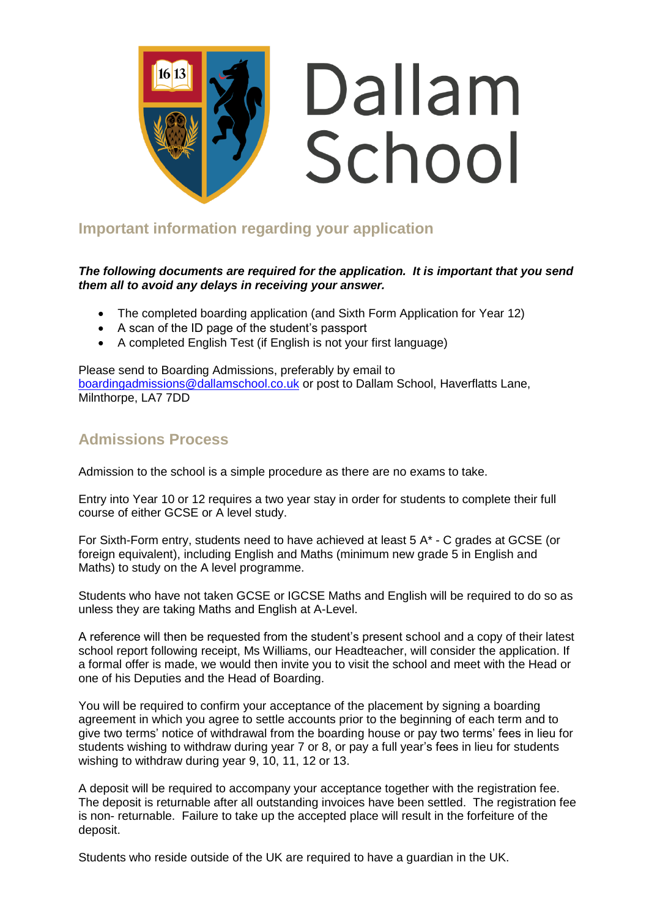

# Dallam School

# **Important information regarding your application**

### *The following documents are required for the application. It is important that you send them all to avoid any delays in receiving your answer.*

- The completed boarding application (and Sixth Form Application for Year 12)
- A scan of the ID page of the student's passport
- A completed English Test (if English is not your first language)

Please send to Boarding Admissions, preferably by email to [boardingadmissions@dallamschool.co.uk](mailto:boardingadmissions@dallamschool.co.uk) or post to Dallam School, Haverflatts Lane, Milnthorpe, LA7 7DD

## **Admissions Process**

Admission to the school is a simple procedure as there are no exams to take.

Entry into Year 10 or 12 requires a two year stay in order for students to complete their full course of either GCSE or A level study.

For Sixth-Form entry, students need to have achieved at least 5 A\* - C grades at GCSE (or foreign equivalent), including English and Maths (minimum new grade 5 in English and Maths) to study on the A level programme.

Students who have not taken GCSE or IGCSE Maths and English will be required to do so as unless they are taking Maths and English at A-Level.

A reference will then be requested from the student's present school and a copy of their latest school report following receipt, Ms Williams, our Headteacher, will consider the application. If a formal offer is made, we would then invite you to visit the school and meet with the Head or one of his Deputies and the Head of Boarding.

You will be required to confirm your acceptance of the placement by signing a boarding agreement in which you agree to settle accounts prior to the beginning of each term and to give two terms' notice of withdrawal from the boarding house or pay two terms' fees in lieu for students wishing to withdraw during year 7 or 8, or pay a full year's fees in lieu for students wishing to withdraw during year 9, 10, 11, 12 or 13.

A deposit will be required to accompany your acceptance together with the registration fee. The deposit is returnable after all outstanding invoices have been settled. The registration fee is non- returnable. Failure to take up the accepted place will result in the forfeiture of the deposit.

Students who reside outside of the UK are required to have a guardian in the UK.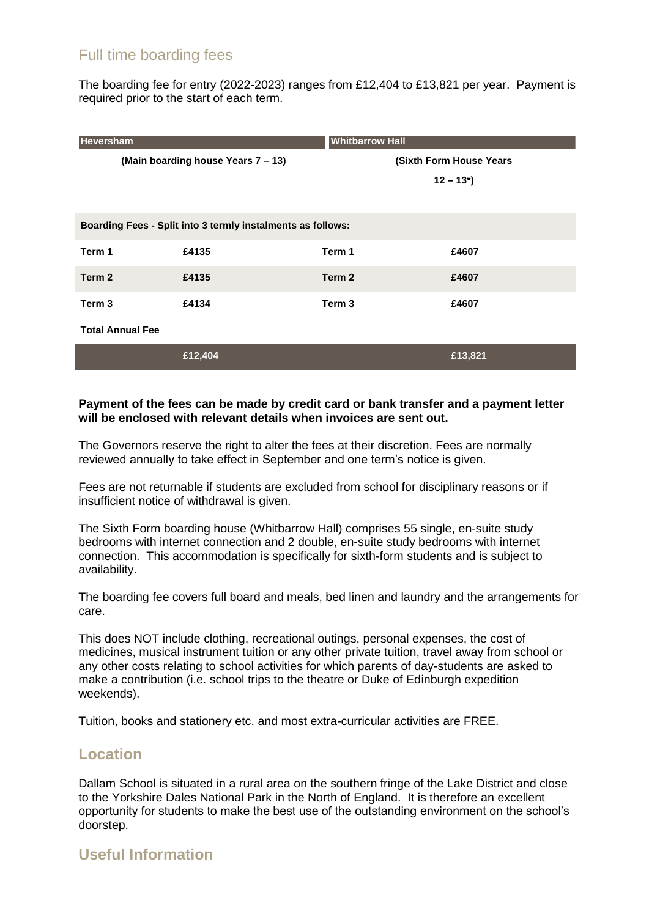# Full time boarding fees

The boarding fee for entry (2022-2023) ranges from £12,404 to £13,821 per year. Payment is required prior to the start of each term.

| Heversham                                                   |         | <b>Whitbarrow Hall</b>  |                          |  |
|-------------------------------------------------------------|---------|-------------------------|--------------------------|--|
| (Main boarding house Years 7 - 13)                          |         | (Sixth Form House Years |                          |  |
|                                                             |         |                         | $12 - 13$ <sup>*</sup> ) |  |
|                                                             |         |                         |                          |  |
| Boarding Fees - Split into 3 termly instalments as follows: |         |                         |                          |  |
| Term 1                                                      | £4135   | Term 1                  | £4607                    |  |
| Term 2                                                      | £4135   | Term 2                  | £4607                    |  |
| Term <sub>3</sub>                                           | £4134   | Term <sub>3</sub>       | £4607                    |  |
| <b>Total Annual Fee</b>                                     |         |                         |                          |  |
|                                                             | £12,404 |                         | £13,821                  |  |

### **Payment of the fees can be made by credit card or bank transfer and a payment letter will be enclosed with relevant details when invoices are sent out.**

The Governors reserve the right to alter the fees at their discretion. Fees are normally reviewed annually to take effect in September and one term's notice is given.

Fees are not returnable if students are excluded from school for disciplinary reasons or if insufficient notice of withdrawal is given.

The Sixth Form boarding house (Whitbarrow Hall) comprises 55 single, en-suite study bedrooms with internet connection and 2 double, en-suite study bedrooms with internet connection. This accommodation is specifically for sixth-form students and is subject to availability.

The boarding fee covers full board and meals, bed linen and laundry and the arrangements for care.

This does NOT include clothing, recreational outings, personal expenses, the cost of medicines, musical instrument tuition or any other private tuition, travel away from school or any other costs relating to school activities for which parents of day-students are asked to make a contribution (i.e. school trips to the theatre or Duke of Edinburgh expedition weekends).

Tuition, books and stationery etc. and most extra-curricular activities are FREE.

### **Location**

Dallam School is situated in a rural area on the southern fringe of the Lake District and close to the Yorkshire Dales National Park in the North of England. It is therefore an excellent opportunity for students to make the best use of the outstanding environment on the school's doorstep.

## **Useful Information**